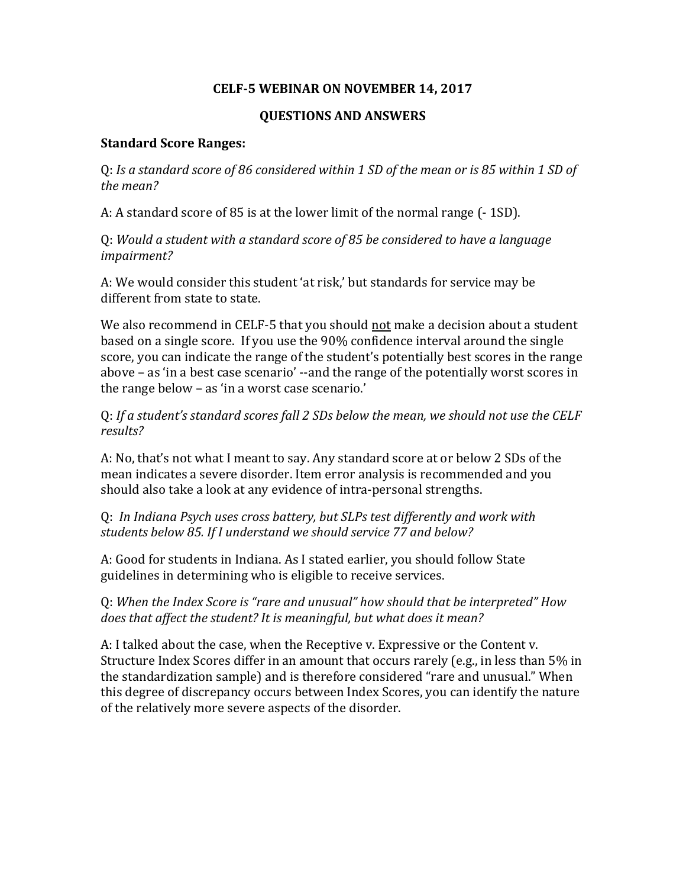## **CELF‐5 WEBINAR ON NOVEMBER 14, 2017**

## **QUESTIONS AND ANSWERS**

### **Standard Score Ranges:**

0: Is a standard score of 86 considered within 1 SD of the mean or is 85 within 1 SD of *the mean?* 

A: A standard score of 85 is at the lower limit of the normal range (-1SD).

Q: *Would a student with a standard score of 85 be considered to have a language impairment?*

A: We would consider this student 'at risk,' but standards for service may be different from state to state.

We also recommend in CELF-5 that you should not make a decision about a student based on a single score. If you use the 90% confidence interval around the single score, you can indicate the range of the student's potentially best scores in the range above – as 'in a best case scenario' --and the range of the potentially worst scores in the range below  $-$  as 'in a worst case scenario.'

Q: *If a student's standard scores fall 2 SDs below the mean, we should not use the CELF results?*

A: No, that's not what I meant to say. Any standard score at or below 2 SDs of the mean indicates a severe disorder. Item error analysis is recommended and you should also take a look at any evidence of intra-personal strengths.

Q: *In Indiana Psych uses cross battery, but SLPs test differently and work with students below 85. If I understand we should service 77 and below?*

A: Good for students in Indiana. As I stated earlier, you should follow State guidelines in determining who is eligible to receive services.

Q: *When the Index Score is "rare and unusual" how should that be interpreted" How does that affect the student? It is meaningful, but what does it mean?*

A: I talked about the case, when the Receptive v. Expressive or the Content v. Structure Index Scores differ in an amount that occurs rarely (e.g., in less than 5% in the standardization sample) and is therefore considered "rare and unusual." When this degree of discrepancy occurs between Index Scores, you can identify the nature of the relatively more severe aspects of the disorder.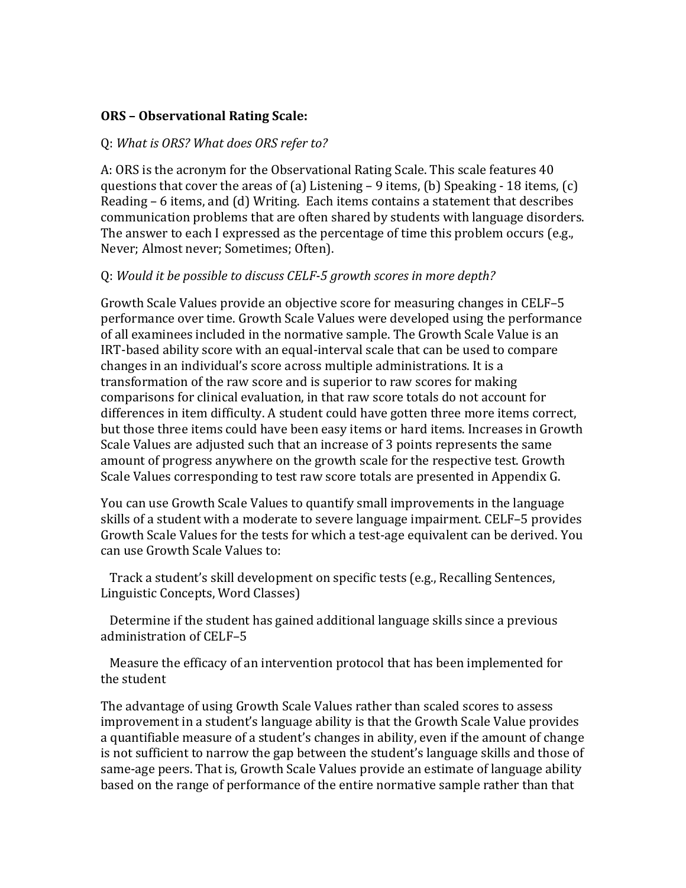## **ORS – Observational Rating Scale:**

### Q: *What is ORS? What does ORS refer to?*

A: ORS is the acronym for the Observational Rating Scale. This scale features 40 questions that cover the areas of (a) Listening – 9 items, (b) Speaking - 18 items, (c) Reading  $-6$  items, and  $(d)$  Writing. Each items contains a statement that describes communication problems that are often shared by students with language disorders. The answer to each I expressed as the percentage of time this problem occurs (e.g., Never; Almost never; Sometimes; Often).

## Q: *Would it be possible to discuss CELF‐5 growth scores in more depth?*

Growth Scale Values provide an objective score for measuring changes in CELF-5 performance over time. Growth Scale Values were developed using the performance of all examinees included in the normative sample. The Growth Scale Value is an IRT-based ability score with an equal-interval scale that can be used to compare changes in an individual's score across multiple administrations. It is a transformation of the raw score and is superior to raw scores for making comparisons for clinical evaluation, in that raw score totals do not account for differences in item difficulty. A student could have gotten three more items correct, but those three items could have been easy items or hard items. Increases in Growth Scale Values are adjusted such that an increase of 3 points represents the same amount of progress anywhere on the growth scale for the respective test. Growth Scale Values corresponding to test raw score totals are presented in Appendix G.

You can use Growth Scale Values to quantify small improvements in the language skills of a student with a moderate to severe language impairment. CELF-5 provides Growth Scale Values for the tests for which a test-age equivalent can be derived. You can use Growth Scale Values to:

Track a student's skill development on specific tests (e.g., Recalling Sentences, Linguistic Concepts, Word Classes)

Determine if the student has gained additional language skills since a previous administration of CELF-5

Measure the efficacy of an intervention protocol that has been implemented for the student

The advantage of using Growth Scale Values rather than scaled scores to assess improvement in a student's language ability is that the Growth Scale Value provides a quantifiable measure of a student's changes in ability, even if the amount of change is not sufficient to narrow the gap between the student's language skills and those of same-age peers. That is, Growth Scale Values provide an estimate of language ability based on the range of performance of the entire normative sample rather than that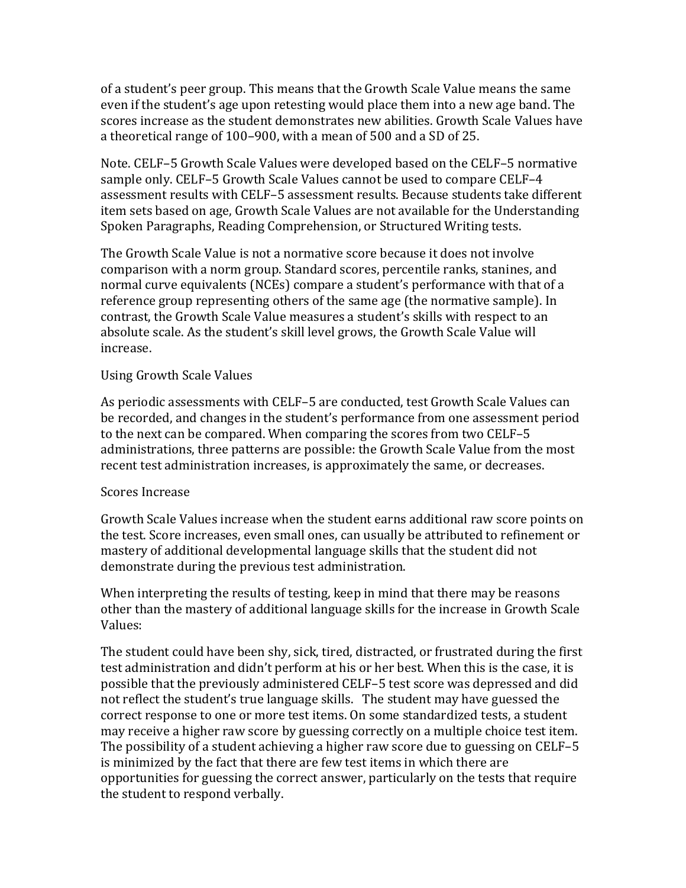of a student's peer group. This means that the Growth Scale Value means the same even if the student's age upon retesting would place them into a new age band. The scores increase as the student demonstrates new abilities. Growth Scale Values have a theoretical range of 100–900, with a mean of 500 and a SD of 25.

Note. CELF-5 Growth Scale Values were developed based on the CELF-5 normative sample only. CELF-5 Growth Scale Values cannot be used to compare CELF-4 assessment results with CELF-5 assessment results. Because students take different item sets based on age, Growth Scale Values are not available for the Understanding Spoken Paragraphs, Reading Comprehension, or Structured Writing tests.

The Growth Scale Value is not a normative score because it does not involve comparison with a norm group. Standard scores, percentile ranks, stanines, and normal curve equivalents (NCEs) compare a student's performance with that of a reference group representing others of the same age (the normative sample). In contrast, the Growth Scale Value measures a student's skills with respect to an absolute scale. As the student's skill level grows, the Growth Scale Value will increase. 

## Using Growth Scale Values

As periodic assessments with CELF-5 are conducted, test Growth Scale Values can be recorded, and changes in the student's performance from one assessment period to the next can be compared. When comparing the scores from two CELF-5 administrations, three patterns are possible: the Growth Scale Value from the most recent test administration increases, is approximately the same, or decreases.

#### Scores Increase

Growth Scale Values increase when the student earns additional raw score points on the test. Score increases, even small ones, can usually be attributed to refinement or mastery of additional developmental language skills that the student did not demonstrate during the previous test administration.

When interpreting the results of testing, keep in mind that there may be reasons other than the mastery of additional language skills for the increase in Growth Scale Values: 

The student could have been shy, sick, tired, distracted, or frustrated during the first test administration and didn't perform at his or her best. When this is the case, it is possible that the previously administered CELF-5 test score was depressed and did not reflect the student's true language skills. The student may have guessed the correct response to one or more test items. On some standardized tests, a student may receive a higher raw score by guessing correctly on a multiple choice test item. The possibility of a student achieving a higher raw score due to guessing on CELF-5 is minimized by the fact that there are few test items in which there are opportunities for guessing the correct answer, particularly on the tests that require the student to respond verbally.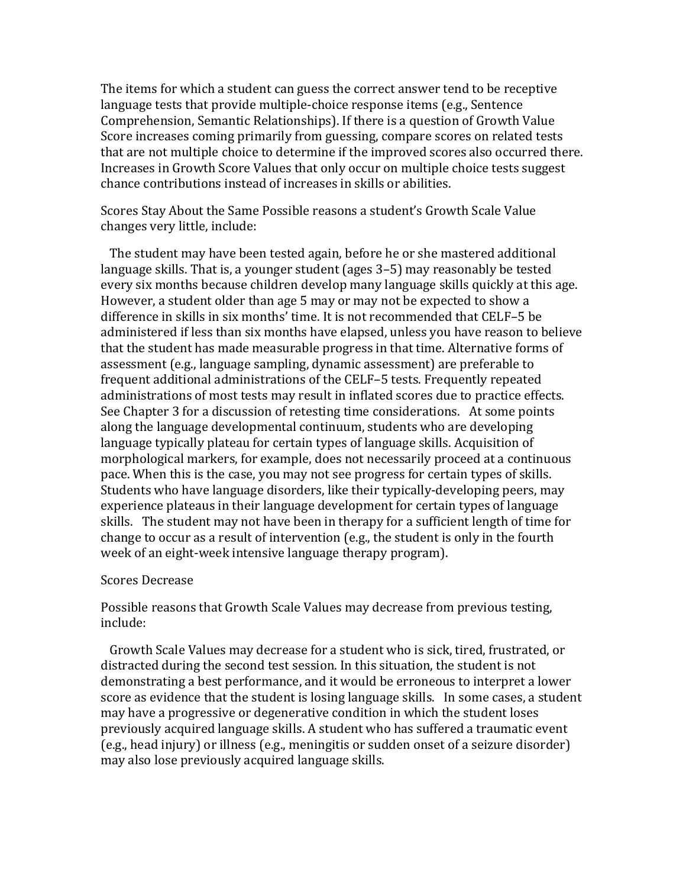The items for which a student can guess the correct answer tend to be receptive language tests that provide multiple-choice response items (e.g., Sentence Comprehension, Semantic Relationships). If there is a question of Growth Value Score increases coming primarily from guessing, compare scores on related tests that are not multiple choice to determine if the improved scores also occurred there. Increases in Growth Score Values that only occur on multiple choice tests suggest chance contributions instead of increases in skills or abilities.

Scores Stay About the Same Possible reasons a student's Growth Scale Value changes very little, include:

The student may have been tested again, before he or she mastered additional language skills. That is, a younger student (ages 3–5) may reasonably be tested every six months because children develop many language skills quickly at this age. However, a student older than age 5 may or may not be expected to show a difference in skills in six months' time. It is not recommended that CELF-5 be administered if less than six months have elapsed, unless you have reason to believe that the student has made measurable progress in that time. Alternative forms of assessment (e.g., language sampling, dynamic assessment) are preferable to frequent additional administrations of the CELF-5 tests. Frequently repeated administrations of most tests may result in inflated scores due to practice effects. See Chapter 3 for a discussion of retesting time considerations. At some points along the language developmental continuum, students who are developing language typically plateau for certain types of language skills. Acquisition of morphological markers, for example, does not necessarily proceed at a continuous pace. When this is the case, you may not see progress for certain types of skills. Students who have language disorders, like their typically-developing peers, may experience plateaus in their language development for certain types of language skills. The student may not have been in therapy for a sufficient length of time for change to occur as a result of intervention  $(e.g., the student is only in the fourth)$ week of an eight-week intensive language therapy program).

#### Scores Decrease

Possible reasons that Growth Scale Values may decrease from previous testing, include: 

Growth Scale Values may decrease for a student who is sick, tired, frustrated, or distracted during the second test session. In this situation, the student is not demonstrating a best performance, and it would be erroneous to interpret a lower score as evidence that the student is losing language skills. In some cases, a student may have a progressive or degenerative condition in which the student loses previously acquired language skills. A student who has suffered a traumatic event  $(e.g., head injury)$  or illness  $(e.g., meningitis or sudden onset of a seizure disorder)$ may also lose previously acquired language skills.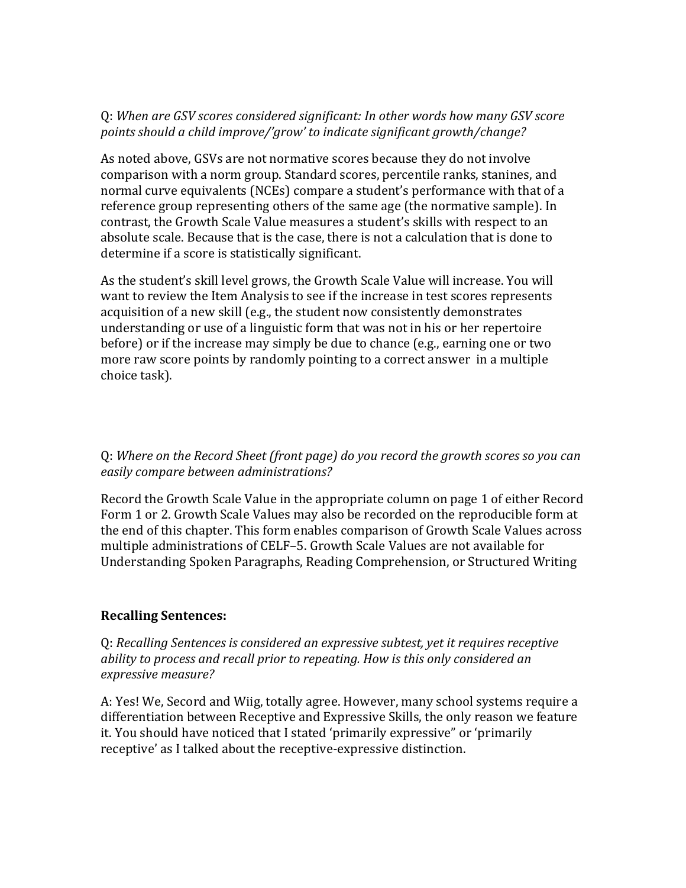## Q: *When are GSV scores considered significant: In other words how many GSV score points should a child improve/'grow' to indicate significant growth/change?*

As noted above, GSVs are not normative scores because they do not involve comparison with a norm group. Standard scores, percentile ranks, stanines, and normal curve equivalents (NCEs) compare a student's performance with that of a reference group representing others of the same age (the normative sample). In contrast, the Growth Scale Value measures a student's skills with respect to an absolute scale. Because that is the case, there is not a calculation that is done to determine if a score is statistically significant.

As the student's skill level grows, the Growth Scale Value will increase. You will want to review the Item Analysis to see if the increase in test scores represents acquisition of a new skill (e.g., the student now consistently demonstrates understanding or use of a linguistic form that was not in his or her repertoire before) or if the increase may simply be due to chance (e.g., earning one or two more raw score points by randomly pointing to a correct answer in a multiple choice task).

Q: *Where on the Record Sheet (front page) do you record the growth scores so you can easily compare between administrations?*

Record the Growth Scale Value in the appropriate column on page 1 of either Record Form 1 or 2. Growth Scale Values may also be recorded on the reproducible form at the end of this chapter. This form enables comparison of Growth Scale Values across multiple administrations of CELF-5. Growth Scale Values are not available for Understanding Spoken Paragraphs, Reading Comprehension, or Structured Writing

## **Recalling Sentences:**

Q: *Recalling Sentences is considered an expressive subtest, yet it requires receptive ability to process and recall prior to repeating. How is this only considered an expressive measure?*

A: Yes! We, Secord and Wiig, totally agree. However, many school systems require a differentiation between Receptive and Expressive Skills, the only reason we feature it. You should have noticed that I stated 'primarily expressive" or 'primarily receptive' as I talked about the receptive-expressive distinction.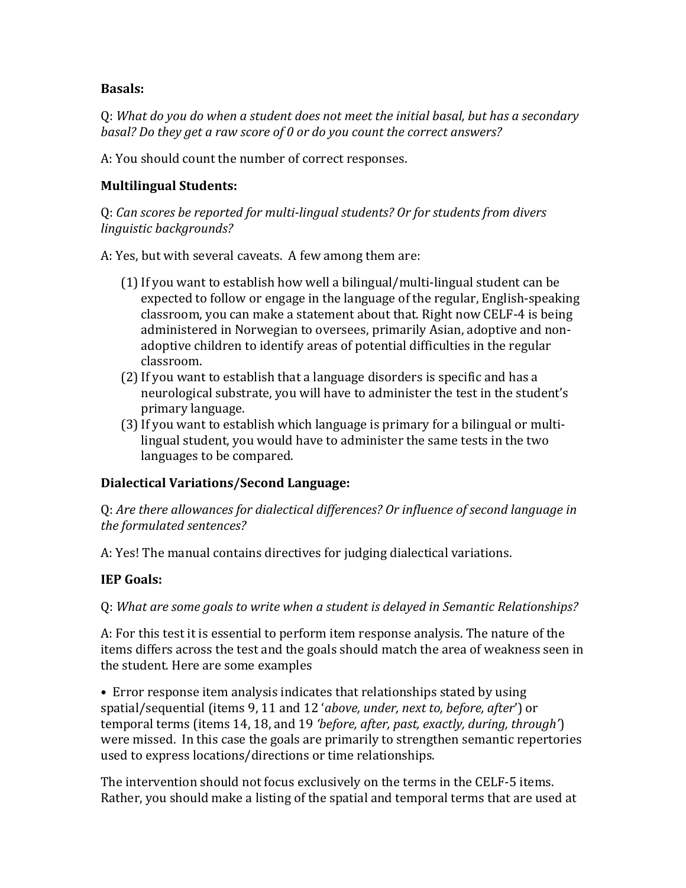## **Basals:**

Q: *What do you do when a student does not meet the initial basal, but has a secondary basal? Do they get a raw score of 0 or do you count the correct answers?*

A: You should count the number of correct responses.

# **Multilingual Students:**

Q: *Can scores be reported for multi‐lingual students? Or for students from divers linguistic backgrounds?*

A: Yes, but with several caveats. A few among them are:

- $(1)$  If you want to establish how well a bilingual/multi-lingual student can be expected to follow or engage in the language of the regular, English-speaking classroom, you can make a statement about that. Right now CELF-4 is being administered in Norwegian to oversees, primarily Asian, adoptive and nonadoptive children to identify areas of potential difficulties in the regular classroom.
- (2) If you want to establish that a language disorders is specific and has a neurological substrate, you will have to administer the test in the student's primary language.
- (3) If you want to establish which language is primary for a bilingual or multilingual student, you would have to administer the same tests in the two languages to be compared.

# **Dialectical Variations/Second Language:**

Q: *Are there allowances for dialectical differences? Or influence of second language in the formulated sentences?* 

A: Yes! The manual contains directives for judging dialectical variations.

# **IEP** Goals:

## Q: *What are some goals to write when a student is delayed in Semantic Relationships?*

A: For this test it is essential to perform item response analysis. The nature of the items differs across the test and the goals should match the area of weakness seen in the student. Here are some examples

• Error response item analysis indicates that relationships stated by using spatial/sequential (items 9, 11 and 12 '*above, under, next to, before, after*') or temporal terms (items 14, 18, and 19 *'before, after, past, exactly, during, through'*) were missed. In this case the goals are primarily to strengthen semantic repertories used to express locations/directions or time relationships.

The intervention should not focus exclusively on the terms in the CELF-5 items. Rather, you should make a listing of the spatial and temporal terms that are used at